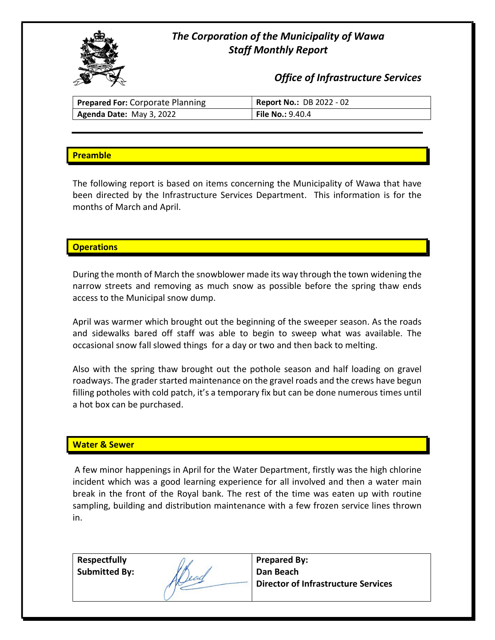

# The Corporation of the Municipality of Wawa Staff Monthly Report

Office of Infrastructure Services

| <b>Prepared For: Corporate Planning</b> | <b>Report No.: DB 2022 - 02</b> |
|-----------------------------------------|---------------------------------|
| Agenda Date: May 3, 2022                | <b>File No.:</b> 9.40.4         |

# **Preamble**

The following report is based on items concerning the Municipality of Wawa that have been directed by the Infrastructure Services Department. This information is for the months of March and April.

# **Operations**

During the month of March the snowblower made its way through the town widening the narrow streets and removing as much snow as possible before the spring thaw ends access to the Municipal snow dump.

April was warmer which brought out the beginning of the sweeper season. As the roads and sidewalks bared off staff was able to begin to sweep what was available. The occasional snow fall slowed things for a day or two and then back to melting.

Also with the spring thaw brought out the pothole season and half loading on gravel roadways. The grader started maintenance on the gravel roads and the crews have begun filling potholes with cold patch, it's a temporary fix but can be done numerous times until a hot box can be purchased.

### Water & Sewer

A few minor happenings in April for the Water Department, firstly was the high chlorine incident which was a good learning experience for all involved and then a water main break in the front of the Royal bank. The rest of the time was eaten up with routine sampling, building and distribution maintenance with a few frozen service lines thrown in.

| <b>Respectfully</b>  |     | <b>Prepared By:</b>                        |
|----------------------|-----|--------------------------------------------|
| <b>Submitted By:</b> |     | Dan Beach                                  |
|                      | and | <b>Director of Infrastructure Services</b> |
|                      |     |                                            |